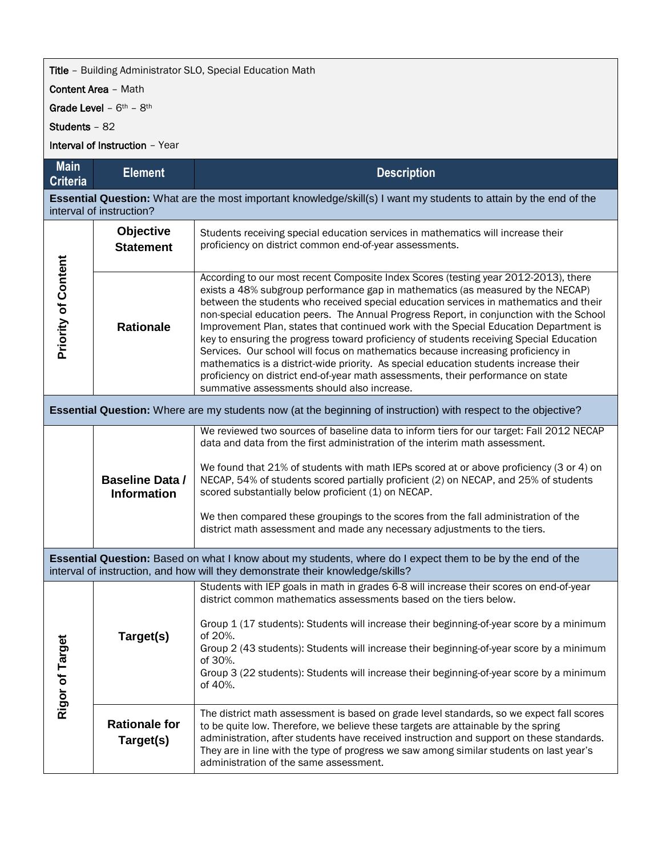## **Title** - Building Administrator SLO, Special Education Math

Content Area – Math

Grade Level –  $6<sup>th</sup>$  –  $8<sup>th</sup>$ 

Students – 82

Interval of Instruction – Year

| <b>Main</b><br><b>Criteria</b>                                                                                                                                                               | <b>Element</b>                               | <b>Description</b>                                                                                                                                                                                                                                                                                                                                                                                                                                                                                                                                                                                                                                                                                                                                                                                                                                             |  |  |
|----------------------------------------------------------------------------------------------------------------------------------------------------------------------------------------------|----------------------------------------------|----------------------------------------------------------------------------------------------------------------------------------------------------------------------------------------------------------------------------------------------------------------------------------------------------------------------------------------------------------------------------------------------------------------------------------------------------------------------------------------------------------------------------------------------------------------------------------------------------------------------------------------------------------------------------------------------------------------------------------------------------------------------------------------------------------------------------------------------------------------|--|--|
| Essential Question: What are the most important knowledge/skill(s) I want my students to attain by the end of the<br>interval of instruction?                                                |                                              |                                                                                                                                                                                                                                                                                                                                                                                                                                                                                                                                                                                                                                                                                                                                                                                                                                                                |  |  |
| <b>Priority of Content</b>                                                                                                                                                                   | Objective<br><b>Statement</b>                | Students receiving special education services in mathematics will increase their<br>proficiency on district common end-of-year assessments.                                                                                                                                                                                                                                                                                                                                                                                                                                                                                                                                                                                                                                                                                                                    |  |  |
|                                                                                                                                                                                              | <b>Rationale</b>                             | According to our most recent Composite Index Scores (testing year 2012-2013), there<br>exists a 48% subgroup performance gap in mathematics (as measured by the NECAP)<br>between the students who received special education services in mathematics and their<br>non-special education peers. The Annual Progress Report, in conjunction with the School<br>Improvement Plan, states that continued work with the Special Education Department is<br>key to ensuring the progress toward proficiency of students receiving Special Education<br>Services. Our school will focus on mathematics because increasing proficiency in<br>mathematics is a district-wide priority. As special education students increase their<br>proficiency on district end-of-year math assessments, their performance on state<br>summative assessments should also increase. |  |  |
| Essential Question: Where are my students now (at the beginning of instruction) with respect to the objective?                                                                               |                                              |                                                                                                                                                                                                                                                                                                                                                                                                                                                                                                                                                                                                                                                                                                                                                                                                                                                                |  |  |
|                                                                                                                                                                                              | <b>Baseline Data /</b><br><b>Information</b> | We reviewed two sources of baseline data to inform tiers for our target: Fall 2012 NECAP<br>data and data from the first administration of the interim math assessment.<br>We found that 21% of students with math IEPs scored at or above proficiency (3 or 4) on<br>NECAP, 54% of students scored partially proficient (2) on NECAP, and 25% of students<br>scored substantially below proficient (1) on NECAP.<br>We then compared these groupings to the scores from the fall administration of the<br>district math assessment and made any necessary adjustments to the tiers.                                                                                                                                                                                                                                                                           |  |  |
| Essential Question: Based on what I know about my students, where do I expect them to be by the end of the<br>interval of instruction, and how will they demonstrate their knowledge/skills? |                                              |                                                                                                                                                                                                                                                                                                                                                                                                                                                                                                                                                                                                                                                                                                                                                                                                                                                                |  |  |
| Rigor of Targe                                                                                                                                                                               | Target(s)                                    | Students with IEP goals in math in grades 6-8 will increase their scores on end-of-year<br>district common mathematics assessments based on the tiers below.<br>Group 1 (17 students): Students will increase their beginning-of-year score by a minimum<br>of 20%.<br>Group 2 (43 students): Students will increase their beginning-of-year score by a minimum<br>of 30%.<br>Group 3 (22 students): Students will increase their beginning-of-year score by a minimum<br>of 40%.                                                                                                                                                                                                                                                                                                                                                                              |  |  |
|                                                                                                                                                                                              | <b>Rationale for</b><br>Target(s)            | The district math assessment is based on grade level standards, so we expect fall scores<br>to be quite low. Therefore, we believe these targets are attainable by the spring<br>administration, after students have received instruction and support on these standards.<br>They are in line with the type of progress we saw among similar students on last year's<br>administration of the same assessment.                                                                                                                                                                                                                                                                                                                                                                                                                                                 |  |  |